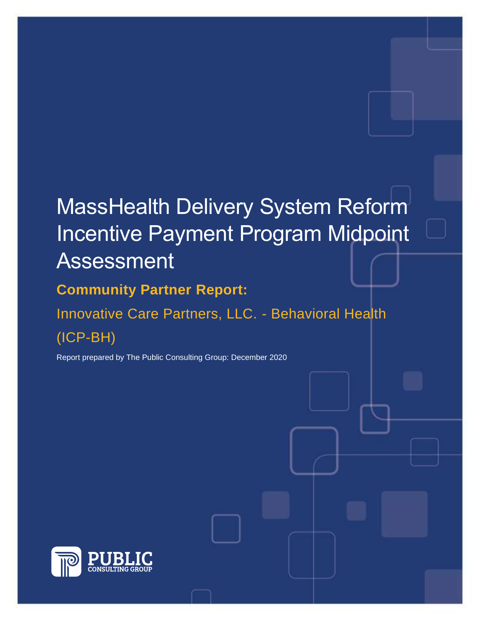# MassHealth Delivery System Reform Incentive Payment Program Midpoint Assessment

## **Community Partner Report:**

Innovative Care Partners, LLC. - Behavioral Health (ICP-BH)

Report prepared by The Public Consulting Group: December 2020

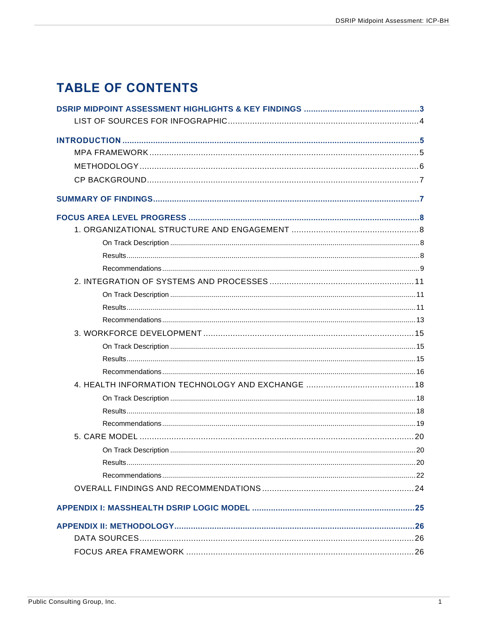## **TABLE OF CONTENTS**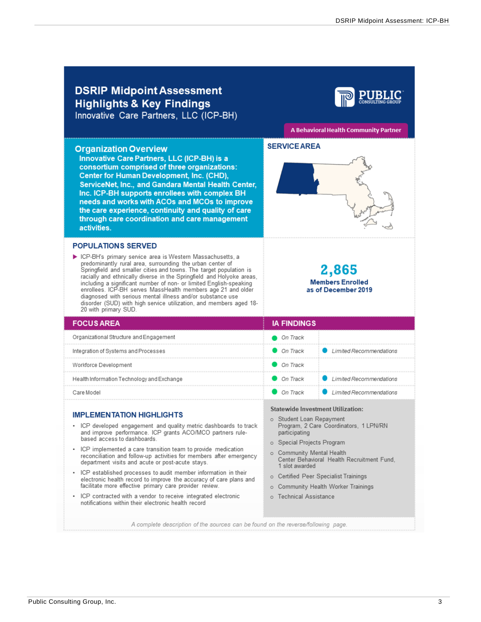#### <span id="page-3-0"></span>**DSRIP Midpoint Assessment Highlights & Key Findings** Innovative Care Partners, LLC (ICP-BH) A Behavioral Health Community Partner **SERVICE AREA Organization Overview** Innovative Care Partners, LLC (ICP-BH) is a consortium comprised of three organizations: Center for Human Development, Inc. (CHD), ServiceNet, Inc., and Gandara Mental Health Center, Inc. ICP-BH supports enrollees with complex BH needs and works with ACOs and MCOs to improve the care experience, continuity and quality of care through care coordination and care management activities. **POPULATIONS SERVED** CP-BH's primary service area is Western Massachusetts, a predominantly rural area, surrounding the urban center of 2,865 Springfield and smaller cities and towns. The target population is racially and ethnically diverse in the Springfield and Holyoke areas, including a significant number of non- or limited English-speaking<br>enrollees. ICP-BH serves MassHealth members age 21 and older **Members Enrolled** as of December 2019 diagnosed with serious mental illness and/or substance use disorder (SUD) with high service utilization, and members aged 18-20 with primary SUD. **IA FINDINGS FOCUS AREA** Organizational Structure and Engagement On Track On Track Limited Recommendations Integration of Systems and Processes Workforce Development On Track Health Information Technology and Exchange On Track Limited Recommendations On Track Limited Recommendations Care Model **Statewide Investment Utilization: IMPLEMENTATION HIGHLIGHTS** Student Loan Repayment  $\circ$ • ICP developed engagement and quality metric dashboards to track Program, 2 Care Coordinators, 1 LPN/RN and improve performance. ICP grants ACO/MCO partners ruleparticipating based access to dashboards. o Special Projects Program ICP implemented a care transition team to provide medication o Community Mental Health reconciliation and follow-up activities for members after emergency Center Behavioral Health Recruitment Fund, department visits and acute or post-acute stays. 1 slot awarded ICP established processes to audit member information in their o Certified Peer Specialist Trainings electronic health record to improve the accuracy of care plans and facilitate more effective primary care provider review. o Community Health Worker Trainings ICP contracted with a vendor to receive integrated electronic o Technical Assistance notifications within their electronic health record A complete description of the sources can be found on the reverse/following page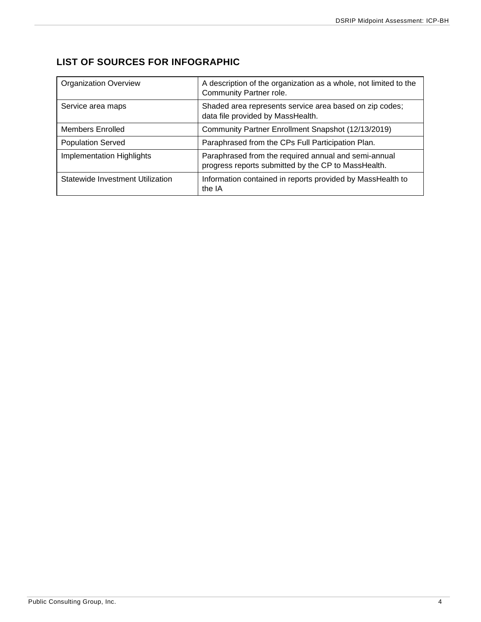## <span id="page-4-0"></span>**LIST OF SOURCES FOR INFOGRAPHIC**

| <b>Organization Overview</b>     | A description of the organization as a whole, not limited to the<br>Community Partner role.                 |
|----------------------------------|-------------------------------------------------------------------------------------------------------------|
| Service area maps                | Shaded area represents service area based on zip codes;<br>data file provided by MassHealth.                |
| Members Enrolled                 | Community Partner Enrollment Snapshot (12/13/2019)                                                          |
| <b>Population Served</b>         | Paraphrased from the CPs Full Participation Plan.                                                           |
| <b>Implementation Highlights</b> | Paraphrased from the required annual and semi-annual<br>progress reports submitted by the CP to MassHealth. |
| Statewide Investment Utilization | Information contained in reports provided by MassHealth to<br>the IA                                        |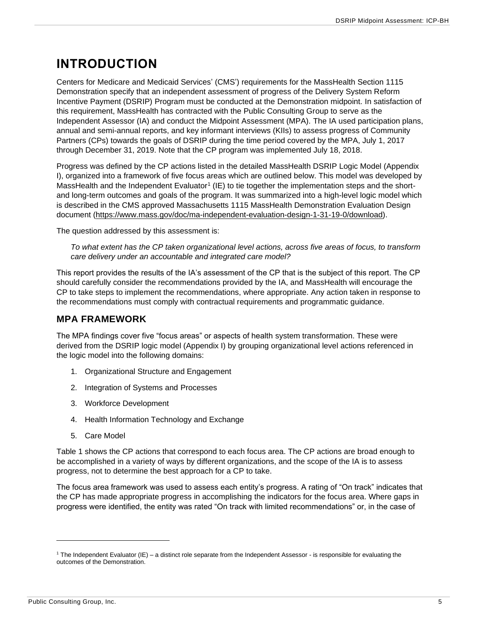## <span id="page-5-0"></span>**INTRODUCTION**

Centers for Medicare and Medicaid Services' (CMS') requirements for the MassHealth Section 1115 Demonstration specify that an independent assessment of progress of the Delivery System Reform Incentive Payment (DSRIP) Program must be conducted at the Demonstration midpoint. In satisfaction of this requirement, MassHealth has contracted with the Public Consulting Group to serve as the Independent Assessor (IA) and conduct the Midpoint Assessment (MPA). The IA used participation plans, annual and semi-annual reports, and key informant interviews (KIIs) to assess progress of Community Partners (CPs) towards the goals of DSRIP during the time period covered by the MPA, July 1, 2017 through December 31, 2019. Note that the CP program was implemented July 18, 2018.

Progress was defined by the CP actions listed in the detailed MassHealth DSRIP Logic Model (Appendix I), organized into a framework of five focus areas which are outlined below. This model was developed by MassHealth and the Independent Evaluator<sup>1</sup> (IE) to tie together the implementation steps and the shortand long-term outcomes and goals of the program. It was summarized into a high-level logic model which is described in the CMS approved Massachusetts 1115 MassHealth Demonstration Evaluation Design document [\(https://www.mass.gov/doc/ma-independent-evaluation-design-1-31-19-0/download\)](https://www.mass.gov/doc/ma-independent-evaluation-design-1-31-19-0/download).

The question addressed by this assessment is:

*To what extent has the CP taken organizational level actions, across five areas of focus, to transform care delivery under an accountable and integrated care model?*

This report provides the results of the IA's assessment of the CP that is the subject of this report. The CP should carefully consider the recommendations provided by the IA, and MassHealth will encourage the CP to take steps to implement the recommendations, where appropriate. Any action taken in response to the recommendations must comply with contractual requirements and programmatic guidance.

### <span id="page-5-1"></span>**MPA FRAMEWORK**

The MPA findings cover five "focus areas" or aspects of health system transformation. These were derived from the DSRIP logic model (Appendix I) by grouping organizational level actions referenced in the logic model into the following domains:

- 1. Organizational Structure and Engagement
- 2. Integration of Systems and Processes
- 3. Workforce Development
- 4. Health Information Technology and Exchange
- 5. Care Model

Table 1 shows the CP actions that correspond to each focus area. The CP actions are broad enough to be accomplished in a variety of ways by different organizations, and the scope of the IA is to assess progress, not to determine the best approach for a CP to take.

The focus area framework was used to assess each entity's progress. A rating of "On track" indicates that the CP has made appropriate progress in accomplishing the indicators for the focus area. Where gaps in progress were identified, the entity was rated "On track with limited recommendations" or, in the case of

 $1$  The Independent Evaluator (IE) – a distinct role separate from the Independent Assessor - is responsible for evaluating the outcomes of the Demonstration.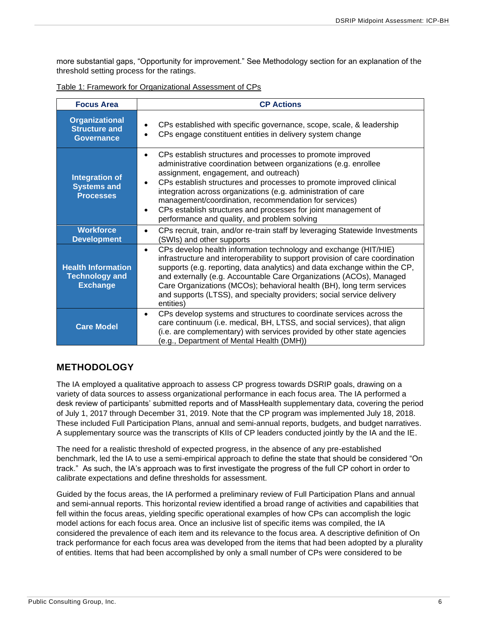more substantial gaps, "Opportunity for improvement." See Methodology section for an explanation of the threshold setting process for the ratings.

| <b>Focus Area</b>                                                     | <b>CP Actions</b>                                                                                                                                                                                                                                                                                                                                                                                                                                                                                                                 |
|-----------------------------------------------------------------------|-----------------------------------------------------------------------------------------------------------------------------------------------------------------------------------------------------------------------------------------------------------------------------------------------------------------------------------------------------------------------------------------------------------------------------------------------------------------------------------------------------------------------------------|
| <b>Organizational</b><br><b>Structure and</b><br><b>Governance</b>    | CPs established with specific governance, scope, scale, & leadership<br>CPs engage constituent entities in delivery system change                                                                                                                                                                                                                                                                                                                                                                                                 |
| <b>Integration of</b><br><b>Systems and</b><br><b>Processes</b>       | CPs establish structures and processes to promote improved<br>$\bullet$<br>administrative coordination between organizations (e.g. enrollee<br>assignment, engagement, and outreach)<br>CPs establish structures and processes to promote improved clinical<br>$\bullet$<br>integration across organizations (e.g. administration of care<br>management/coordination, recommendation for services)<br>CPs establish structures and processes for joint management of<br>$\bullet$<br>performance and quality, and problem solving |
| <b>Workforce</b><br><b>Development</b>                                | CPs recruit, train, and/or re-train staff by leveraging Statewide Investments<br>$\bullet$<br>(SWIs) and other supports                                                                                                                                                                                                                                                                                                                                                                                                           |
| <b>Health Information</b><br><b>Technology and</b><br><b>Exchange</b> | CPs develop health information technology and exchange (HIT/HIE)<br>$\bullet$<br>infrastructure and interoperability to support provision of care coordination<br>supports (e.g. reporting, data analytics) and data exchange within the CP,<br>and externally (e.g. Accountable Care Organizations (ACOs), Managed<br>Care Organizations (MCOs); behavioral health (BH), long term services<br>and supports (LTSS), and specialty providers; social service delivery<br>entities)                                                |
| <b>Care Model</b>                                                     | CPs develop systems and structures to coordinate services across the<br>$\bullet$<br>care continuum (i.e. medical, BH, LTSS, and social services), that align<br>(i.e. are complementary) with services provided by other state agencies<br>(e.g., Department of Mental Health (DMH))                                                                                                                                                                                                                                             |

Table 1: Framework for Organizational Assessment of CPs

### <span id="page-6-0"></span>**METHODOLOGY**

The IA employed a qualitative approach to assess CP progress towards DSRIP goals, drawing on a variety of data sources to assess organizational performance in each focus area. The IA performed a desk review of participants' submitted reports and of MassHealth supplementary data, covering the period of July 1, 2017 through December 31, 2019. Note that the CP program was implemented July 18, 2018. These included Full Participation Plans, annual and semi-annual reports, budgets, and budget narratives. A supplementary source was the transcripts of KIIs of CP leaders conducted jointly by the IA and the IE.

The need for a realistic threshold of expected progress, in the absence of any pre-established benchmark, led the IA to use a semi-empirical approach to define the state that should be considered "On track." As such, the IA's approach was to first investigate the progress of the full CP cohort in order to calibrate expectations and define thresholds for assessment.

Guided by the focus areas, the IA performed a preliminary review of Full Participation Plans and annual and semi-annual reports. This horizontal review identified a broad range of activities and capabilities that fell within the focus areas, yielding specific operational examples of how CPs can accomplish the logic model actions for each focus area. Once an inclusive list of specific items was compiled, the IA considered the prevalence of each item and its relevance to the focus area. A descriptive definition of On track performance for each focus area was developed from the items that had been adopted by a plurality of entities. Items that had been accomplished by only a small number of CPs were considered to be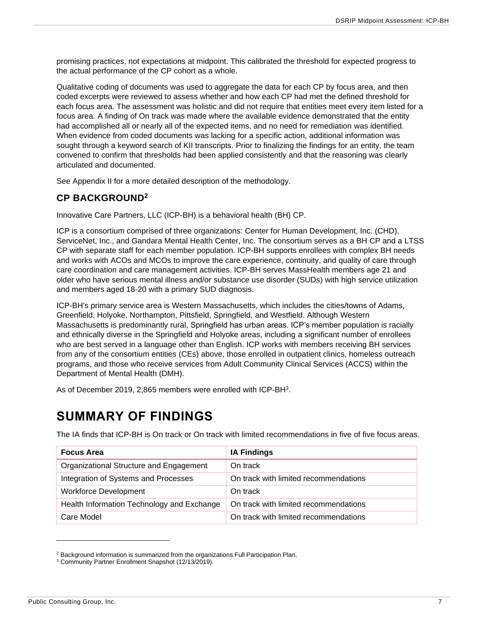promising practices, not expectations at midpoint. This calibrated the threshold for expected progress to the actual performance of the CP cohort as a whole.

Qualitative coding of documents was used to aggregate the data for each CP by focus area, and then coded excerpts were reviewed to assess whether and how each CP had met the defined threshold for each focus area. The assessment was holistic and did not require that entities meet every item listed for a focus area. A finding of On track was made where the available evidence demonstrated that the entity had accomplished all or nearly all of the expected items, and no need for remediation was identified. When evidence from coded documents was lacking for a specific action, additional information was sought through a keyword search of KII transcripts. Prior to finalizing the findings for an entity, the team convened to confirm that thresholds had been applied consistently and that the reasoning was clearly articulated and documented.

See Appendix II for a more detailed description of the methodology.

### <span id="page-7-0"></span>**CP BACKGROUND<sup>2</sup>**

Innovative Care Partners, LLC (ICP-BH) is a behavioral health (BH) CP.

ICP is a consortium comprised of three organizations: Center for Human Development, Inc. (CHD), ServiceNet, Inc., and Gandara Mental Health Center, Inc. The consortium serves as a BH CP and a LTSS CP with separate staff for each member population. ICP-BH supports enrollees with complex BH needs and works with ACOs and MCOs to improve the care experience, continuity, and quality of care through care coordination and care management activities. ICP-BH serves MassHealth members age 21 and older who have serious mental illness and/or substance use disorder (SUDs) with high service utilization and members aged 18-20 with a primary SUD diagnosis.

ICP-BH's primary service area is Western Massachusetts, which includes the cities/towns of Adams, Greenfield, Holyoke, Northampton, Pittsfield, Springfield, and Westfield. Although Western Massachusetts is predominantly rural, Springfield has urban areas. ICP's member population is racially and ethnically diverse in the Springfield and Holyoke areas, including a significant number of enrollees who are best served in a language other than English. ICP works with members receiving BH services from any of the consortium entities (CEs) above, those enrolled in outpatient clinics, homeless outreach programs, and those who receive services from Adult Community Clinical Services (ACCS) within the Department of Mental Health (DMH).

As of December 2019, 2,865 members were enrolled with ICP-BH<sup>3</sup>.

## <span id="page-7-1"></span>**SUMMARY OF FINDINGS**

The IA finds that ICP-BH is On track or On track with limited recommendations in five of five focus areas.

| <b>Focus Area</b>                          | <b>IA Findings</b>                    |
|--------------------------------------------|---------------------------------------|
| Organizational Structure and Engagement    | On track                              |
| Integration of Systems and Processes       | On track with limited recommendations |
| <b>Workforce Development</b>               | On track                              |
| Health Information Technology and Exchange | On track with limited recommendations |
| Care Model                                 | On track with limited recommendations |

<sup>&</sup>lt;sup>2</sup> Background information is summarized from the organizations Full Participation Plan.

<sup>3</sup> Community Partner Enrollment Snapshot (12/13/2019).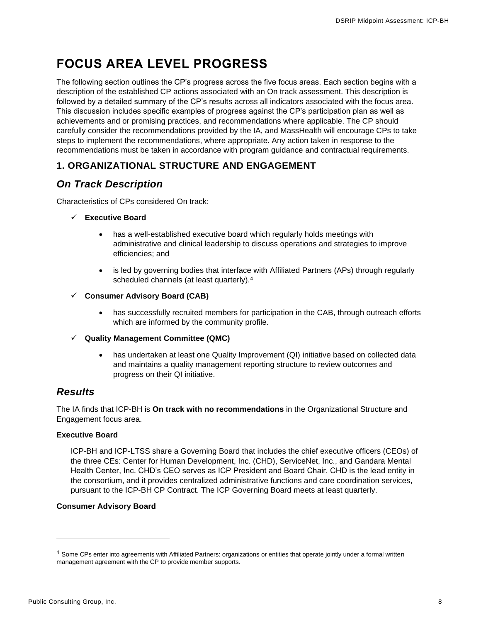## <span id="page-8-0"></span>**FOCUS AREA LEVEL PROGRESS**

The following section outlines the CP's progress across the five focus areas. Each section begins with a description of the established CP actions associated with an On track assessment. This description is followed by a detailed summary of the CP's results across all indicators associated with the focus area. This discussion includes specific examples of progress against the CP's participation plan as well as achievements and or promising practices, and recommendations where applicable. The CP should carefully consider the recommendations provided by the IA, and MassHealth will encourage CPs to take steps to implement the recommendations, where appropriate. Any action taken in response to the recommendations must be taken in accordance with program guidance and contractual requirements.

### <span id="page-8-1"></span>**1. ORGANIZATIONAL STRUCTURE AND ENGAGEMENT**

### <span id="page-8-2"></span>*On Track Description*

Characteristics of CPs considered On track:

#### ✓ **Executive Board**

- has a well-established executive board which regularly holds meetings with administrative and clinical leadership to discuss operations and strategies to improve efficiencies; and
- is led by governing bodies that interface with Affiliated Partners (APs) through regularly scheduled channels (at least quarterly).<sup>4</sup>
- ✓ **Consumer Advisory Board (CAB)**
	- has successfully recruited members for participation in the CAB, through outreach efforts which are informed by the community profile.
- ✓ **Quality Management Committee (QMC)**
	- has undertaken at least one Quality Improvement (QI) initiative based on collected data and maintains a quality management reporting structure to review outcomes and progress on their QI initiative.

### <span id="page-8-3"></span>*Results*

The IA finds that ICP-BH is **On track with no recommendations** in the Organizational Structure and Engagement focus area.

#### **Executive Board**

ICP-BH and ICP-LTSS share a Governing Board that includes the chief executive officers (CEOs) of the three CEs: Center for Human Development, Inc. (CHD), ServiceNet, Inc., and Gandara Mental Health Center, Inc. CHD's CEO serves as ICP President and Board Chair. CHD is the lead entity in the consortium, and it provides centralized administrative functions and care coordination services, pursuant to the ICP-BH CP Contract. The ICP Governing Board meets at least quarterly.

#### **Consumer Advisory Board**

<sup>4</sup> Some CPs enter into agreements with Affiliated Partners: organizations or entities that operate jointly under a formal written management agreement with the CP to provide member supports.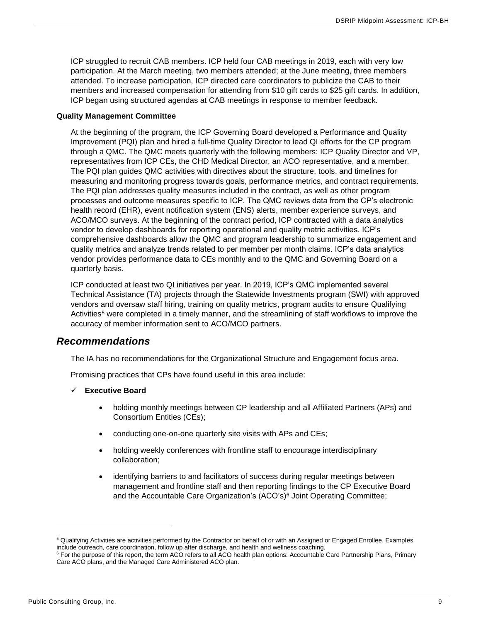ICP struggled to recruit CAB members. ICP held four CAB meetings in 2019, each with very low participation. At the March meeting, two members attended; at the June meeting, three members attended. To increase participation, ICP directed care coordinators to publicize the CAB to their members and increased compensation for attending from \$10 gift cards to \$25 gift cards. In addition, ICP began using structured agendas at CAB meetings in response to member feedback.

#### **Quality Management Committee**

At the beginning of the program, the ICP Governing Board developed a Performance and Quality Improvement (PQI) plan and hired a full-time Quality Director to lead QI efforts for the CP program through a QMC. The QMC meets quarterly with the following members: ICP Quality Director and VP, representatives from ICP CEs, the CHD Medical Director, an ACO representative, and a member. The PQI plan guides QMC activities with directives about the structure, tools, and timelines for measuring and monitoring progress towards goals, performance metrics, and contract requirements. The PQI plan addresses quality measures included in the contract, as well as other program processes and outcome measures specific to ICP. The QMC reviews data from the CP's electronic health record (EHR), event notification system (ENS) alerts, member experience surveys, and ACO/MCO surveys. At the beginning of the contract period, ICP contracted with a data analytics vendor to develop dashboards for reporting operational and quality metric activities. ICP's comprehensive dashboards allow the QMC and program leadership to summarize engagement and quality metrics and analyze trends related to per member per month claims. ICP's data analytics vendor provides performance data to CEs monthly and to the QMC and Governing Board on a quarterly basis.

ICP conducted at least two QI initiatives per year. In 2019, ICP's QMC implemented several Technical Assistance (TA) projects through the Statewide Investments program (SWI) with approved vendors and oversaw staff hiring, training on quality metrics, program audits to ensure Qualifying Activities<sup>5</sup> were completed in a timely manner, and the streamlining of staff workflows to improve the accuracy of member information sent to ACO/MCO partners.

#### <span id="page-9-0"></span>*Recommendations*

The IA has no recommendations for the Organizational Structure and Engagement focus area.

Promising practices that CPs have found useful in this area include:

- ✓ **Executive Board**
	- holding monthly meetings between CP leadership and all Affiliated Partners (APs) and Consortium Entities (CEs);
	- conducting one-on-one quarterly site visits with APs and CEs;
	- holding weekly conferences with frontline staff to encourage interdisciplinary collaboration;
	- identifying barriers to and facilitators of success during regular meetings between management and frontline staff and then reporting findings to the CP Executive Board and the Accountable Care Organization's (ACO's) <sup>6</sup> Joint Operating Committee;

<sup>5</sup> Qualifying Activities are activities performed by the Contractor on behalf of or with an Assigned or Engaged Enrollee. Examples include outreach, care coordination, follow up after discharge, and health and wellness coaching.

<sup>&</sup>lt;sup>6</sup> For the purpose of this report, the term ACO refers to all ACO health plan options: Accountable Care Partnership Plans, Primary Care ACO plans, and the Managed Care Administered ACO plan.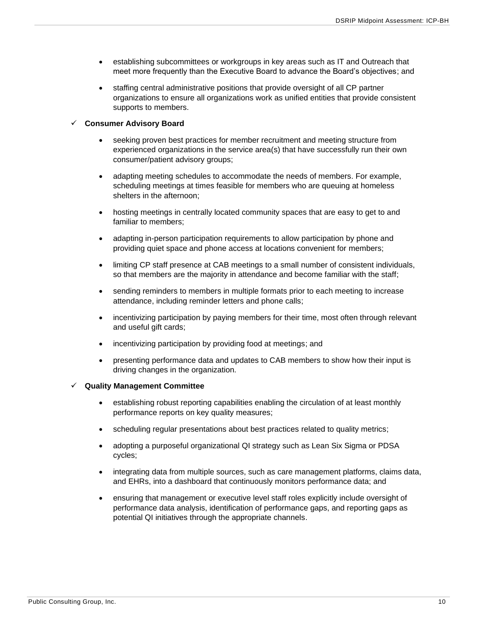- establishing subcommittees or workgroups in key areas such as IT and Outreach that meet more frequently than the Executive Board to advance the Board's objectives; and
- staffing central administrative positions that provide oversight of all CP partner organizations to ensure all organizations work as unified entities that provide consistent supports to members.

#### ✓ **Consumer Advisory Board**

- seeking proven best practices for member recruitment and meeting structure from experienced organizations in the service area(s) that have successfully run their own consumer/patient advisory groups;
- adapting meeting schedules to accommodate the needs of members. For example, scheduling meetings at times feasible for members who are queuing at homeless shelters in the afternoon;
- hosting meetings in centrally located community spaces that are easy to get to and familiar to members;
- adapting in-person participation requirements to allow participation by phone and providing quiet space and phone access at locations convenient for members;
- limiting CP staff presence at CAB meetings to a small number of consistent individuals, so that members are the majority in attendance and become familiar with the staff;
- sending reminders to members in multiple formats prior to each meeting to increase attendance, including reminder letters and phone calls;
- incentivizing participation by paying members for their time, most often through relevant and useful gift cards;
- incentivizing participation by providing food at meetings; and
- presenting performance data and updates to CAB members to show how their input is driving changes in the organization.

#### ✓ **Quality Management Committee**

- establishing robust reporting capabilities enabling the circulation of at least monthly performance reports on key quality measures;
- scheduling regular presentations about best practices related to quality metrics;
- adopting a purposeful organizational QI strategy such as Lean Six Sigma or PDSA cycles;
- integrating data from multiple sources, such as care management platforms, claims data, and EHRs, into a dashboard that continuously monitors performance data; and
- ensuring that management or executive level staff roles explicitly include oversight of performance data analysis, identification of performance gaps, and reporting gaps as potential QI initiatives through the appropriate channels.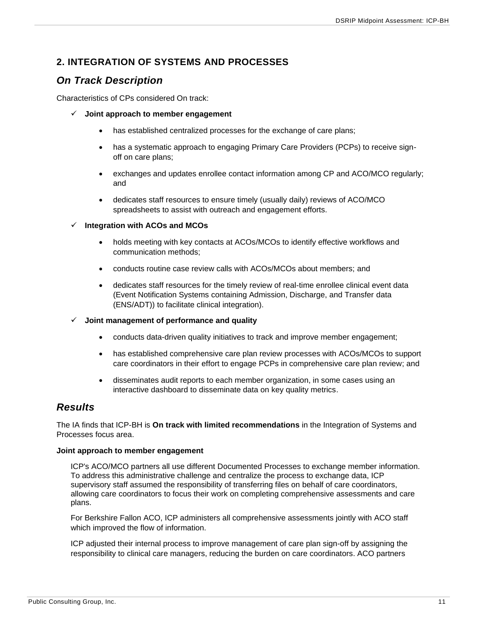### <span id="page-11-0"></span>**2. INTEGRATION OF SYSTEMS AND PROCESSES**

## <span id="page-11-1"></span>*On Track Description*

Characteristics of CPs considered On track:

- ✓ **Joint approach to member engagement**
	- has established centralized processes for the exchange of care plans;
	- has a systematic approach to engaging Primary Care Providers (PCPs) to receive signoff on care plans;
	- exchanges and updates enrollee contact information among CP and ACO/MCO regularly; and
	- dedicates staff resources to ensure timely (usually daily) reviews of ACO/MCO spreadsheets to assist with outreach and engagement efforts.
- ✓ **Integration with ACOs and MCOs**
	- holds meeting with key contacts at ACOs/MCOs to identify effective workflows and communication methods;
	- conducts routine case review calls with ACOs/MCOs about members; and
	- dedicates staff resources for the timely review of real-time enrollee clinical event data (Event Notification Systems containing Admission, Discharge, and Transfer data (ENS/ADT)) to facilitate clinical integration).

#### ✓ **Joint management of performance and quality**

- conducts data-driven quality initiatives to track and improve member engagement;
- has established comprehensive care plan review processes with ACOs/MCOs to support care coordinators in their effort to engage PCPs in comprehensive care plan review; and
- disseminates audit reports to each member organization, in some cases using an interactive dashboard to disseminate data on key quality metrics.

### <span id="page-11-2"></span>*Results*

The IA finds that ICP-BH is **On track with limited recommendations** in the Integration of Systems and Processes focus area.

#### **Joint approach to member engagement**

ICP's ACO/MCO partners all use different Documented Processes to exchange member information. To address this administrative challenge and centralize the process to exchange data, ICP supervisory staff assumed the responsibility of transferring files on behalf of care coordinators, allowing care coordinators to focus their work on completing comprehensive assessments and care plans.

For Berkshire Fallon ACO, ICP administers all comprehensive assessments jointly with ACO staff which improved the flow of information.

ICP adjusted their internal process to improve management of care plan sign-off by assigning the responsibility to clinical care managers, reducing the burden on care coordinators. ACO partners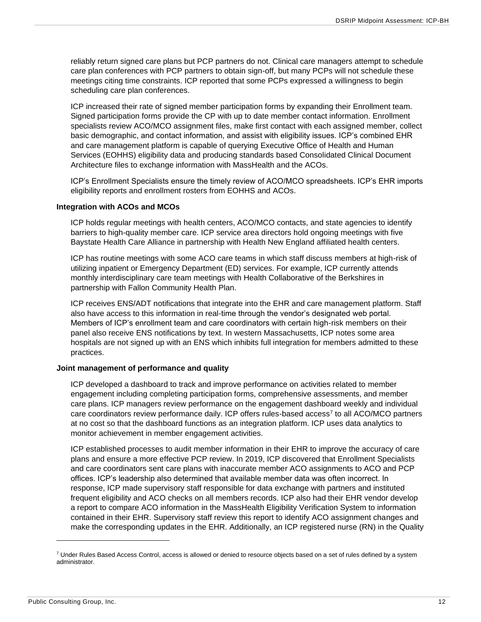reliably return signed care plans but PCP partners do not. Clinical care managers attempt to schedule care plan conferences with PCP partners to obtain sign-off, but many PCPs will not schedule these meetings citing time constraints. ICP reported that some PCPs expressed a willingness to begin scheduling care plan conferences.

ICP increased their rate of signed member participation forms by expanding their Enrollment team. Signed participation forms provide the CP with up to date member contact information. Enrollment specialists review ACO/MCO assignment files, make first contact with each assigned member, collect basic demographic, and contact information, and assist with eligibility issues. ICP's combined EHR and care management platform is capable of querying Executive Office of Health and Human Services (EOHHS) eligibility data and producing standards based Consolidated Clinical Document Architecture files to exchange information with MassHealth and the ACOs.

ICP's Enrollment Specialists ensure the timely review of ACO/MCO spreadsheets. ICP's EHR imports eligibility reports and enrollment rosters from EOHHS and ACOs.

#### **Integration with ACOs and MCOs**

ICP holds regular meetings with health centers, ACO/MCO contacts, and state agencies to identify barriers to high-quality member care. ICP service area directors hold ongoing meetings with five Baystate Health Care Alliance in partnership with Health New England affiliated health centers.

ICP has routine meetings with some ACO care teams in which staff discuss members at high-risk of utilizing inpatient or Emergency Department (ED) services. For example, ICP currently attends monthly interdisciplinary care team meetings with Health Collaborative of the Berkshires in partnership with Fallon Community Health Plan.

ICP receives ENS/ADT notifications that integrate into the EHR and care management platform. Staff also have access to this information in real-time through the vendor's designated web portal. Members of ICP's enrollment team and care coordinators with certain high-risk members on their panel also receive ENS notifications by text. In western Massachusetts, ICP notes some area hospitals are not signed up with an ENS which inhibits full integration for members admitted to these practices.

#### **Joint management of performance and quality**

ICP developed a dashboard to track and improve performance on activities related to member engagement including completing participation forms, comprehensive assessments, and member care plans. ICP managers review performance on the engagement dashboard weekly and individual care coordinators review performance daily. ICP offers rules-based access<sup>7</sup> to all ACO/MCO partners at no cost so that the dashboard functions as an integration platform. ICP uses data analytics to monitor achievement in member engagement activities.

ICP established processes to audit member information in their EHR to improve the accuracy of care plans and ensure a more effective PCP review. In 2019, ICP discovered that Enrollment Specialists and care coordinators sent care plans with inaccurate member ACO assignments to ACO and PCP offices. ICP's leadership also determined that available member data was often incorrect. In response, ICP made supervisory staff responsible for data exchange with partners and instituted frequent eligibility and ACO checks on all members records. ICP also had their EHR vendor develop a report to compare ACO information in the MassHealth Eligibility Verification System to information contained in their EHR. Supervisory staff review this report to identify ACO assignment changes and make the corresponding updates in the EHR. Additionally, an ICP registered nurse (RN) in the Quality

<sup>&</sup>lt;sup>7</sup> Under Rules Based Access Control, access is allowed or denied to resource objects based on a set of rules defined by a system administrator.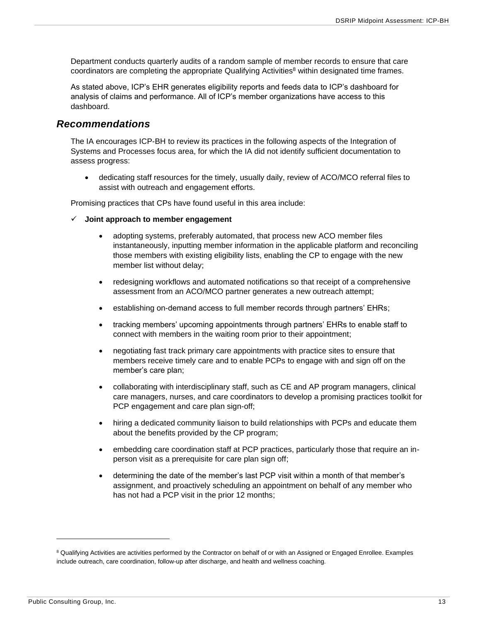Department conducts quarterly audits of a random sample of member records to ensure that care coordinators are completing the appropriate Qualifying Activities<sup>8</sup> within designated time frames.

As stated above, ICP's EHR generates eligibility reports and feeds data to ICP's dashboard for analysis of claims and performance. All of ICP's member organizations have access to this dashboard.

### <span id="page-13-0"></span>*Recommendations*

The IA encourages ICP-BH to review its practices in the following aspects of the Integration of Systems and Processes focus area, for which the IA did not identify sufficient documentation to assess progress:

• dedicating staff resources for the timely, usually daily, review of ACO/MCO referral files to assist with outreach and engagement efforts.

Promising practices that CPs have found useful in this area include:

- ✓ **Joint approach to member engagement**
	- adopting systems, preferably automated, that process new ACO member files instantaneously, inputting member information in the applicable platform and reconciling those members with existing eligibility lists, enabling the CP to engage with the new member list without delay;
	- redesigning workflows and automated notifications so that receipt of a comprehensive assessment from an ACO/MCO partner generates a new outreach attempt;
	- establishing on-demand access to full member records through partners' EHRs;
	- tracking members' upcoming appointments through partners' EHRs to enable staff to connect with members in the waiting room prior to their appointment;
	- negotiating fast track primary care appointments with practice sites to ensure that members receive timely care and to enable PCPs to engage with and sign off on the member's care plan;
	- collaborating with interdisciplinary staff, such as CE and AP program managers, clinical care managers, nurses, and care coordinators to develop a promising practices toolkit for PCP engagement and care plan sign-off;
	- hiring a dedicated community liaison to build relationships with PCPs and educate them about the benefits provided by the CP program;
	- embedding care coordination staff at PCP practices, particularly those that require an inperson visit as a prerequisite for care plan sign off;
	- determining the date of the member's last PCP visit within a month of that member's assignment, and proactively scheduling an appointment on behalf of any member who has not had a PCP visit in the prior 12 months;

<sup>&</sup>lt;sup>8</sup> Qualifying Activities are activities performed by the Contractor on behalf of or with an Assigned or Engaged Enrollee. Examples include outreach, care coordination, follow-up after discharge, and health and wellness coaching.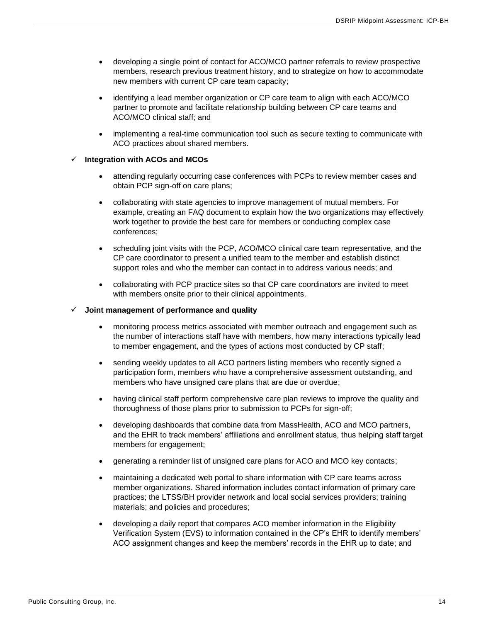- developing a single point of contact for ACO/MCO partner referrals to review prospective members, research previous treatment history, and to strategize on how to accommodate new members with current CP care team capacity;
- identifying a lead member organization or CP care team to align with each ACO/MCO partner to promote and facilitate relationship building between CP care teams and ACO/MCO clinical staff; and
- implementing a real-time communication tool such as secure texting to communicate with ACO practices about shared members.

#### **Integration with ACOs and MCOs**

- attending regularly occurring case conferences with PCPs to review member cases and obtain PCP sign-off on care plans;
- collaborating with state agencies to improve management of mutual members. For example, creating an FAQ document to explain how the two organizations may effectively work together to provide the best care for members or conducting complex case conferences;
- scheduling joint visits with the PCP, ACO/MCO clinical care team representative, and the CP care coordinator to present a unified team to the member and establish distinct support roles and who the member can contact in to address various needs; and
- collaborating with PCP practice sites so that CP care coordinators are invited to meet with members onsite prior to their clinical appointments.

#### ✓ **Joint management of performance and quality**

- monitoring process metrics associated with member outreach and engagement such as the number of interactions staff have with members, how many interactions typically lead to member engagement, and the types of actions most conducted by CP staff;
- sending weekly updates to all ACO partners listing members who recently signed a participation form, members who have a comprehensive assessment outstanding, and members who have unsigned care plans that are due or overdue;
- having clinical staff perform comprehensive care plan reviews to improve the quality and thoroughness of those plans prior to submission to PCPs for sign-off;
- developing dashboards that combine data from MassHealth, ACO and MCO partners, and the EHR to track members' affiliations and enrollment status, thus helping staff target members for engagement;
- generating a reminder list of unsigned care plans for ACO and MCO key contacts;
- maintaining a dedicated web portal to share information with CP care teams across member organizations. Shared information includes contact information of primary care practices; the LTSS/BH provider network and local social services providers; training materials; and policies and procedures;
- developing a daily report that compares ACO member information in the Eligibility Verification System (EVS) to information contained in the CP's EHR to identify members' ACO assignment changes and keep the members' records in the EHR up to date; and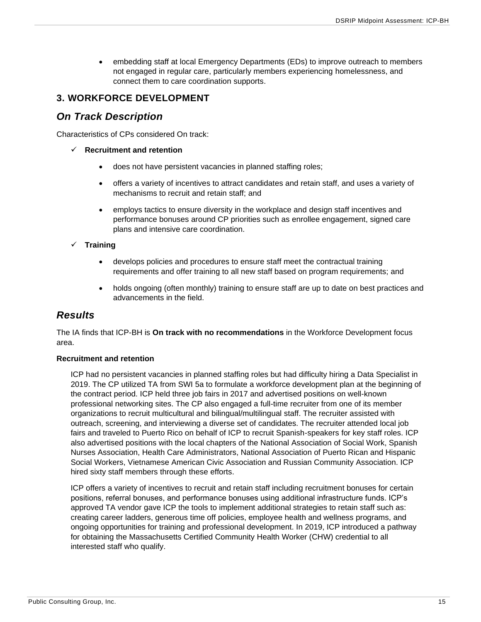• embedding staff at local Emergency Departments (EDs) to improve outreach to members not engaged in regular care, particularly members experiencing homelessness, and connect them to care coordination supports.

### <span id="page-15-0"></span>**3. WORKFORCE DEVELOPMENT**

### <span id="page-15-1"></span>*On Track Description*

Characteristics of CPs considered On track:

- ✓ **Recruitment and retention**
	- does not have persistent vacancies in planned staffing roles;
	- offers a variety of incentives to attract candidates and retain staff, and uses a variety of mechanisms to recruit and retain staff; and
	- employs tactics to ensure diversity in the workplace and design staff incentives and performance bonuses around CP priorities such as enrollee engagement, signed care plans and intensive care coordination.

#### ✓ **Training**

- develops policies and procedures to ensure staff meet the contractual training requirements and offer training to all new staff based on program requirements; and
- holds ongoing (often monthly) training to ensure staff are up to date on best practices and advancements in the field.

### <span id="page-15-2"></span>*Results*

The IA finds that ICP-BH is **On track with no recommendations** in the Workforce Development focus area.

#### **Recruitment and retention**

ICP had no persistent vacancies in planned staffing roles but had difficulty hiring a Data Specialist in 2019. The CP utilized TA from SWI 5a to formulate a workforce development plan at the beginning of the contract period. ICP held three job fairs in 2017 and advertised positions on well-known professional networking sites. The CP also engaged a full-time recruiter from one of its member organizations to recruit multicultural and bilingual/multilingual staff. The recruiter assisted with outreach, screening, and interviewing a diverse set of candidates. The recruiter attended local job fairs and traveled to Puerto Rico on behalf of ICP to recruit Spanish-speakers for key staff roles. ICP also advertised positions with the local chapters of the National Association of Social Work, Spanish Nurses Association, Health Care Administrators, National Association of Puerto Rican and Hispanic Social Workers, Vietnamese American Civic Association and Russian Community Association. ICP hired sixty staff members through these efforts.

ICP offers a variety of incentives to recruit and retain staff including recruitment bonuses for certain positions, referral bonuses, and performance bonuses using additional infrastructure funds. ICP's approved TA vendor gave ICP the tools to implement additional strategies to retain staff such as: creating career ladders, generous time off policies, employee health and wellness programs, and ongoing opportunities for training and professional development. In 2019, ICP introduced a pathway for obtaining the Massachusetts Certified Community Health Worker (CHW) credential to all interested staff who qualify.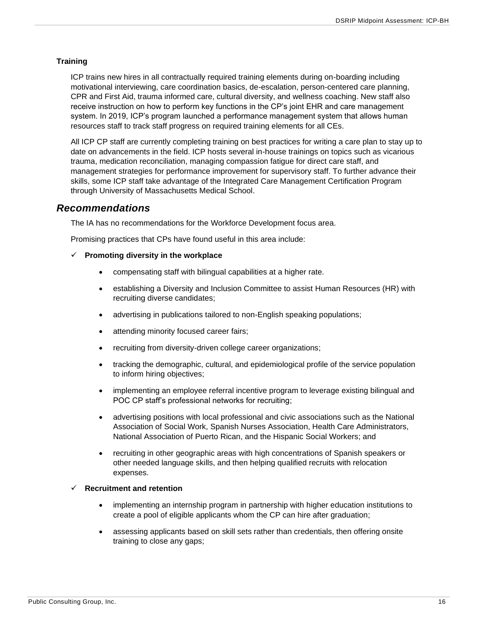#### **Training**

ICP trains new hires in all contractually required training elements during on-boarding including motivational interviewing, care coordination basics, de-escalation, person-centered care planning, CPR and First Aid, trauma informed care, cultural diversity, and wellness coaching. New staff also receive instruction on how to perform key functions in the CP's joint EHR and care management system. In 2019, ICP's program launched a performance management system that allows human resources staff to track staff progress on required training elements for all CEs.

All ICP CP staff are currently completing training on best practices for writing a care plan to stay up to date on advancements in the field. ICP hosts several in-house trainings on topics such as vicarious trauma, medication reconciliation, managing compassion fatigue for direct care staff, and management strategies for performance improvement for supervisory staff. To further advance their skills, some ICP staff take advantage of the Integrated Care Management Certification Program through University of Massachusetts Medical School.

#### <span id="page-16-0"></span>*Recommendations*

The IA has no recommendations for the Workforce Development focus area.

Promising practices that CPs have found useful in this area include:

#### ✓ **Promoting diversity in the workplace**

- compensating staff with bilingual capabilities at a higher rate.
- establishing a Diversity and Inclusion Committee to assist Human Resources (HR) with recruiting diverse candidates;
- advertising in publications tailored to non-English speaking populations;
- attending minority focused career fairs;
- recruiting from diversity-driven college career organizations;
- tracking the demographic, cultural, and epidemiological profile of the service population to inform hiring objectives;
- implementing an employee referral incentive program to leverage existing bilingual and POC CP staff's professional networks for recruiting;
- advertising positions with local professional and civic associations such as the National Association of Social Work, Spanish Nurses Association, Health Care Administrators, National Association of Puerto Rican, and the Hispanic Social Workers; and
- recruiting in other geographic areas with high concentrations of Spanish speakers or other needed language skills, and then helping qualified recruits with relocation expenses.

#### ✓ **Recruitment and retention**

- implementing an internship program in partnership with higher education institutions to create a pool of eligible applicants whom the CP can hire after graduation;
- assessing applicants based on skill sets rather than credentials, then offering onsite training to close any gaps;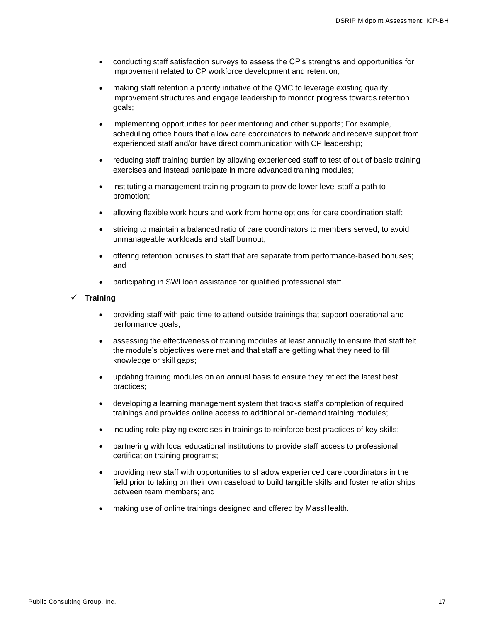- conducting staff satisfaction surveys to assess the CP's strengths and opportunities for improvement related to CP workforce development and retention;
- making staff retention a priority initiative of the QMC to leverage existing quality improvement structures and engage leadership to monitor progress towards retention goals;
- implementing opportunities for peer mentoring and other supports; For example, scheduling office hours that allow care coordinators to network and receive support from experienced staff and/or have direct communication with CP leadership;
- reducing staff training burden by allowing experienced staff to test of out of basic training exercises and instead participate in more advanced training modules;
- instituting a management training program to provide lower level staff a path to promotion;
- allowing flexible work hours and work from home options for care coordination staff;
- striving to maintain a balanced ratio of care coordinators to members served, to avoid unmanageable workloads and staff burnout;
- offering retention bonuses to staff that are separate from performance-based bonuses; and
- participating in SWI loan assistance for qualified professional staff.

#### ✓ **Training**

- providing staff with paid time to attend outside trainings that support operational and performance goals;
- assessing the effectiveness of training modules at least annually to ensure that staff felt the module's objectives were met and that staff are getting what they need to fill knowledge or skill gaps;
- updating training modules on an annual basis to ensure they reflect the latest best practices;
- developing a learning management system that tracks staff's completion of required trainings and provides online access to additional on-demand training modules;
- including role-playing exercises in trainings to reinforce best practices of key skills;
- partnering with local educational institutions to provide staff access to professional certification training programs;
- providing new staff with opportunities to shadow experienced care coordinators in the field prior to taking on their own caseload to build tangible skills and foster relationships between team members; and
- making use of online trainings designed and offered by MassHealth.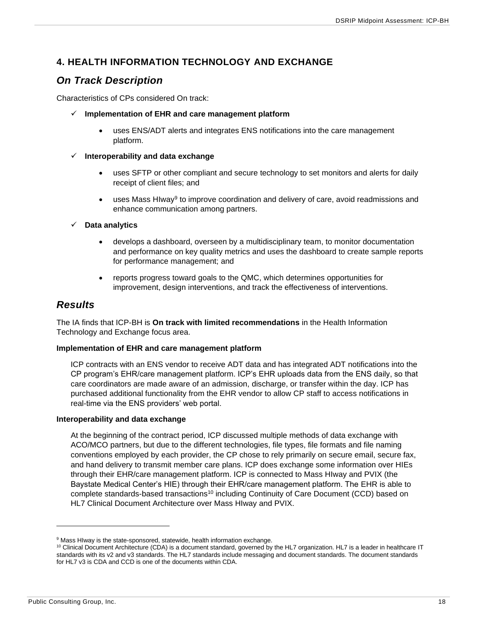### <span id="page-18-0"></span>**4. HEALTH INFORMATION TECHNOLOGY AND EXCHANGE**

## <span id="page-18-1"></span>*On Track Description*

Characteristics of CPs considered On track:

- ✓ **Implementation of EHR and care management platform**
	- uses ENS/ADT alerts and integrates ENS notifications into the care management platform.

#### ✓ **Interoperability and data exchange**

- uses SFTP or other compliant and secure technology to set monitors and alerts for daily receipt of client files; and
- uses Mass Hlway<sup>9</sup> to improve coordination and delivery of care, avoid readmissions and enhance communication among partners.

#### ✓ **Data analytics**

- develops a dashboard, overseen by a multidisciplinary team, to monitor documentation and performance on key quality metrics and uses the dashboard to create sample reports for performance management; and
- reports progress toward goals to the QMC, which determines opportunities for improvement, design interventions, and track the effectiveness of interventions.

### <span id="page-18-2"></span>*Results*

The IA finds that ICP-BH is **On track with limited recommendations** in the Health Information Technology and Exchange focus area.

#### **Implementation of EHR and care management platform**

ICP contracts with an ENS vendor to receive ADT data and has integrated ADT notifications into the CP program's EHR/care management platform. ICP's EHR uploads data from the ENS daily, so that care coordinators are made aware of an admission, discharge, or transfer within the day. ICP has purchased additional functionality from the EHR vendor to allow CP staff to access notifications in real-time via the ENS providers' web portal.

#### **Interoperability and data exchange**

At the beginning of the contract period, ICP discussed multiple methods of data exchange with ACO/MCO partners, but due to the different technologies, file types, file formats and file naming conventions employed by each provider, the CP chose to rely primarily on secure email, secure fax, and hand delivery to transmit member care plans. ICP does exchange some information over HIEs through their EHR/care management platform. ICP is connected to Mass HIway and PVIX (the Baystate Medical Center's HIE) through their EHR/care management platform. The EHR is able to complete standards-based transactions<sup>10</sup> including Continuity of Care Document (CCD) based on HL7 Clinical Document Architecture over Mass HIway and PVIX.

<sup>&</sup>lt;sup>9</sup> Mass HIway is the state-sponsored, statewide, health information exchange.

<sup>&</sup>lt;sup>10</sup> Clinical Document Architecture (CDA) is a document standard, governed by the HL7 organization. HL7 is a leader in healthcare IT standards with its v2 and v3 standards. The HL7 standards include messaging and document standards. The document standards for HL7 v3 is CDA and CCD is one of the documents within CDA.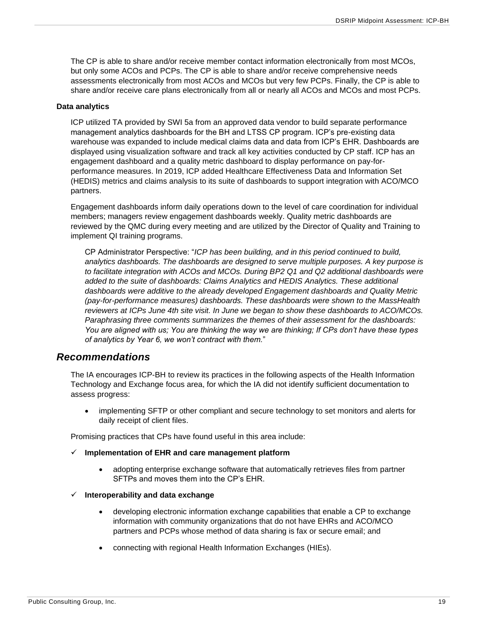The CP is able to share and/or receive member contact information electronically from most MCOs, but only some ACOs and PCPs. The CP is able to share and/or receive comprehensive needs assessments electronically from most ACOs and MCOs but very few PCPs. Finally, the CP is able to share and/or receive care plans electronically from all or nearly all ACOs and MCOs and most PCPs.

#### **Data analytics**

ICP utilized TA provided by SWI 5a from an approved data vendor to build separate performance management analytics dashboards for the BH and LTSS CP program. ICP's pre-existing data warehouse was expanded to include medical claims data and data from ICP's EHR. Dashboards are displayed using visualization software and track all key activities conducted by CP staff. ICP has an engagement dashboard and a quality metric dashboard to display performance on pay-forperformance measures. In 2019, ICP added Healthcare Effectiveness Data and Information Set (HEDIS) metrics and claims analysis to its suite of dashboards to support integration with ACO/MCO partners.

Engagement dashboards inform daily operations down to the level of care coordination for individual members; managers review engagement dashboards weekly. Quality metric dashboards are reviewed by the QMC during every meeting and are utilized by the Director of Quality and Training to implement QI training programs.

CP Administrator Perspective: "*ICP has been building, and in this period continued to build, analytics dashboards. The dashboards are designed to serve multiple purposes. A key purpose is to facilitate integration with ACOs and MCOs. During BP2 Q1 and Q2 additional dashboards were added to the suite of dashboards: Claims Analytics and HEDIS Analytics. These additional dashboards were additive to the already developed Engagement dashboards and Quality Metric (pay-for-performance measures) dashboards. These dashboards were shown to the MassHealth reviewers at ICPs June 4th site visit. In June we began to show these dashboards to ACO/MCOs. Paraphrasing three comments summarizes the themes of their assessment for the dashboards: You are aligned with us; You are thinking the way we are thinking; If CPs don't have these types of analytics by Year 6, we won't contract with them.*"

#### <span id="page-19-0"></span>*Recommendations*

The IA encourages ICP-BH to review its practices in the following aspects of the Health Information Technology and Exchange focus area, for which the IA did not identify sufficient documentation to assess progress:

• implementing SFTP or other compliant and secure technology to set monitors and alerts for daily receipt of client files.

Promising practices that CPs have found useful in this area include:

- ✓ **Implementation of EHR and care management platform**
	- adopting enterprise exchange software that automatically retrieves files from partner SFTPs and moves them into the CP's EHR.

#### ✓ **Interoperability and data exchange**

- developing electronic information exchange capabilities that enable a CP to exchange information with community organizations that do not have EHRs and ACO/MCO partners and PCPs whose method of data sharing is fax or secure email; and
- connecting with regional Health Information Exchanges (HIEs).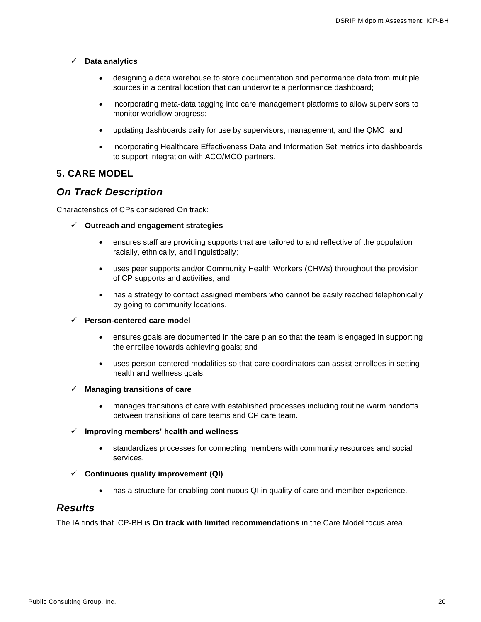- ✓ **Data analytics**
	- designing a data warehouse to store documentation and performance data from multiple sources in a central location that can underwrite a performance dashboard;
	- incorporating meta-data tagging into care management platforms to allow supervisors to monitor workflow progress;
	- updating dashboards daily for use by supervisors, management, and the QMC; and
	- incorporating Healthcare Effectiveness Data and Information Set metrics into dashboards to support integration with ACO/MCO partners.

#### <span id="page-20-0"></span>**5. CARE MODEL**

### <span id="page-20-1"></span>*On Track Description*

Characteristics of CPs considered On track:

- ✓ **Outreach and engagement strategies**
	- ensures staff are providing supports that are tailored to and reflective of the population racially, ethnically, and linguistically;
	- uses peer supports and/or Community Health Workers (CHWs) throughout the provision of CP supports and activities; and
	- has a strategy to contact assigned members who cannot be easily reached telephonically by going to community locations.

#### ✓ **Person-centered care model**

- ensures goals are documented in the care plan so that the team is engaged in supporting the enrollee towards achieving goals; and
- uses person-centered modalities so that care coordinators can assist enrollees in setting health and wellness goals.
- ✓ **Managing transitions of care**
	- manages transitions of care with established processes including routine warm handoffs between transitions of care teams and CP care team.

#### ✓ **Improving members' health and wellness**

- standardizes processes for connecting members with community resources and social services.
- ✓ **Continuous quality improvement (QI)**
	- has a structure for enabling continuous QI in quality of care and member experience.

### <span id="page-20-2"></span>*Results*

The IA finds that ICP-BH is **On track with limited recommendations** in the Care Model focus area.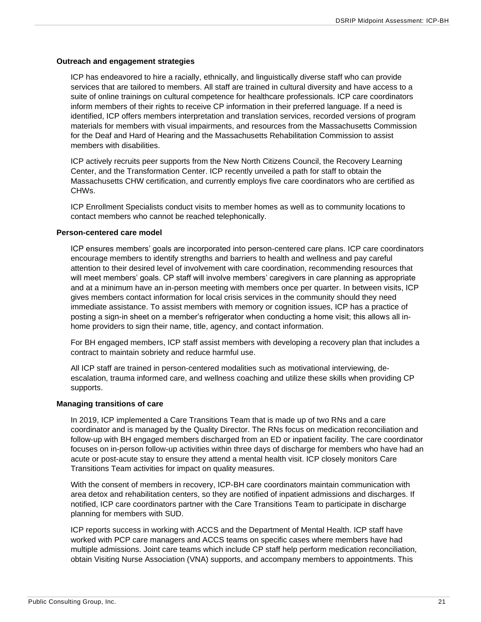#### **Outreach and engagement strategies**

ICP has endeavored to hire a racially, ethnically, and linguistically diverse staff who can provide services that are tailored to members. All staff are trained in cultural diversity and have access to a suite of online trainings on cultural competence for healthcare professionals. ICP care coordinators inform members of their rights to receive CP information in their preferred language. If a need is identified, ICP offers members interpretation and translation services, recorded versions of program materials for members with visual impairments, and resources from the Massachusetts Commission for the Deaf and Hard of Hearing and the Massachusetts Rehabilitation Commission to assist members with disabilities.

ICP actively recruits peer supports from the New North Citizens Council, the Recovery Learning Center, and the Transformation Center. ICP recently unveiled a path for staff to obtain the Massachusetts CHW certification, and currently employs five care coordinators who are certified as CHWs.

ICP Enrollment Specialists conduct visits to member homes as well as to community locations to contact members who cannot be reached telephonically.

#### **Person-centered care model**

ICP ensures members' goals are incorporated into person-centered care plans. ICP care coordinators encourage members to identify strengths and barriers to health and wellness and pay careful attention to their desired level of involvement with care coordination, recommending resources that will meet members' goals. CP staff will involve members' caregivers in care planning as appropriate and at a minimum have an in-person meeting with members once per quarter. In between visits, ICP gives members contact information for local crisis services in the community should they need immediate assistance. To assist members with memory or cognition issues, ICP has a practice of posting a sign-in sheet on a member's refrigerator when conducting a home visit; this allows all inhome providers to sign their name, title, agency, and contact information.

For BH engaged members, ICP staff assist members with developing a recovery plan that includes a contract to maintain sobriety and reduce harmful use.

All ICP staff are trained in person-centered modalities such as motivational interviewing, deescalation, trauma informed care, and wellness coaching and utilize these skills when providing CP supports.

#### **Managing transitions of care**

In 2019, ICP implemented a Care Transitions Team that is made up of two RNs and a care coordinator and is managed by the Quality Director. The RNs focus on medication reconciliation and follow-up with BH engaged members discharged from an ED or inpatient facility. The care coordinator focuses on in-person follow-up activities within three days of discharge for members who have had an acute or post-acute stay to ensure they attend a mental health visit. ICP closely monitors Care Transitions Team activities for impact on quality measures.

With the consent of members in recovery, ICP-BH care coordinators maintain communication with area detox and rehabilitation centers, so they are notified of inpatient admissions and discharges. If notified, ICP care coordinators partner with the Care Transitions Team to participate in discharge planning for members with SUD.

ICP reports success in working with ACCS and the Department of Mental Health. ICP staff have worked with PCP care managers and ACCS teams on specific cases where members have had multiple admissions. Joint care teams which include CP staff help perform medication reconciliation, obtain Visiting Nurse Association (VNA) supports, and accompany members to appointments. This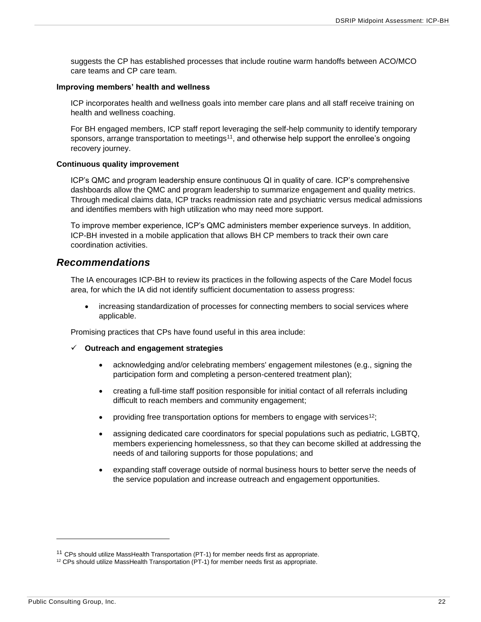suggests the CP has established processes that include routine warm handoffs between ACO/MCO care teams and CP care team.

#### **Improving members' health and wellness**

ICP incorporates health and wellness goals into member care plans and all staff receive training on health and wellness coaching.

For BH engaged members, ICP staff report leveraging the self-help community to identify temporary sponsors, arrange transportation to meetings<sup>11</sup>, and otherwise help support the enrollee's ongoing recovery journey.

#### **Continuous quality improvement**

ICP's QMC and program leadership ensure continuous QI in quality of care. ICP's comprehensive dashboards allow the QMC and program leadership to summarize engagement and quality metrics. Through medical claims data, ICP tracks readmission rate and psychiatric versus medical admissions and identifies members with high utilization who may need more support.

To improve member experience, ICP's QMC administers member experience surveys. In addition, ICP-BH invested in a mobile application that allows BH CP members to track their own care coordination activities.

#### <span id="page-22-0"></span>*Recommendations*

The IA encourages ICP-BH to review its practices in the following aspects of the Care Model focus area, for which the IA did not identify sufficient documentation to assess progress:

• increasing standardization of processes for connecting members to social services where applicable.

Promising practices that CPs have found useful in this area include:

- ✓ **Outreach and engagement strategies**
	- acknowledging and/or celebrating members' engagement milestones (e.g., signing the participation form and completing a person-centered treatment plan);
	- creating a full-time staff position responsible for initial contact of all referrals including difficult to reach members and community engagement;
	- providing free transportation options for members to engage with services<sup>12</sup>;
	- assigning dedicated care coordinators for special populations such as pediatric, LGBTQ, members experiencing homelessness, so that they can become skilled at addressing the needs of and tailoring supports for those populations; and
	- expanding staff coverage outside of normal business hours to better serve the needs of the service population and increase outreach and engagement opportunities.

<sup>&</sup>lt;sup>11</sup> CPs should utilize MassHealth Transportation (PT-1) for member needs first as appropriate.

<sup>&</sup>lt;sup>12</sup> CPs should utilize MassHealth Transportation (PT-1) for member needs first as appropriate.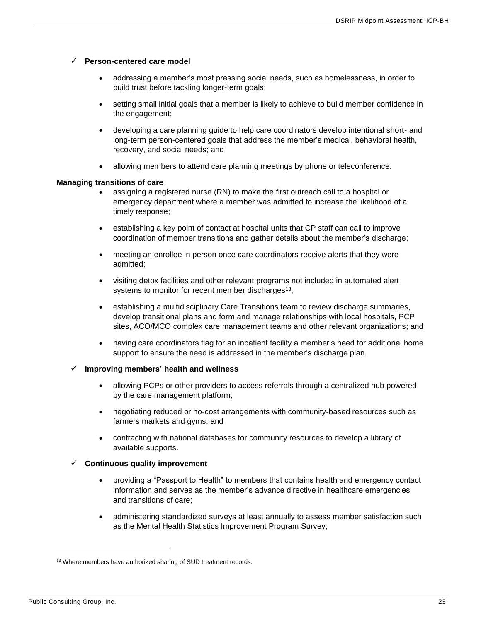#### ✓ **Person-centered care model**

- addressing a member's most pressing social needs, such as homelessness, in order to build trust before tackling longer-term goals;
- setting small initial goals that a member is likely to achieve to build member confidence in the engagement;
- developing a care planning guide to help care coordinators develop intentional short- and long-term person-centered goals that address the member's medical, behavioral health, recovery, and social needs; and
- allowing members to attend care planning meetings by phone or teleconference.

#### **Managing transitions of care**

- assigning a registered nurse (RN) to make the first outreach call to a hospital or emergency department where a member was admitted to increase the likelihood of a timely response;
- establishing a key point of contact at hospital units that CP staff can call to improve coordination of member transitions and gather details about the member's discharge;
- meeting an enrollee in person once care coordinators receive alerts that they were admitted;
- visiting detox facilities and other relevant programs not included in automated alert systems to monitor for recent member discharges<sup>13</sup>;
- establishing a multidisciplinary Care Transitions team to review discharge summaries, develop transitional plans and form and manage relationships with local hospitals, PCP sites, ACO/MCO complex care management teams and other relevant organizations; and
- having care coordinators flag for an inpatient facility a member's need for additional home support to ensure the need is addressed in the member's discharge plan.

#### ✓ **Improving members' health and wellness**

- allowing PCPs or other providers to access referrals through a centralized hub powered by the care management platform;
- negotiating reduced or no-cost arrangements with community-based resources such as farmers markets and gyms; and
- contracting with national databases for community resources to develop a library of available supports.

#### ✓ **Continuous quality improvement**

- providing a "Passport to Health" to members that contains health and emergency contact information and serves as the member's advance directive in healthcare emergencies and transitions of care;
- administering standardized surveys at least annually to assess member satisfaction such as the Mental Health Statistics Improvement Program Survey;

<sup>&</sup>lt;sup>13</sup> Where members have authorized sharing of SUD treatment records.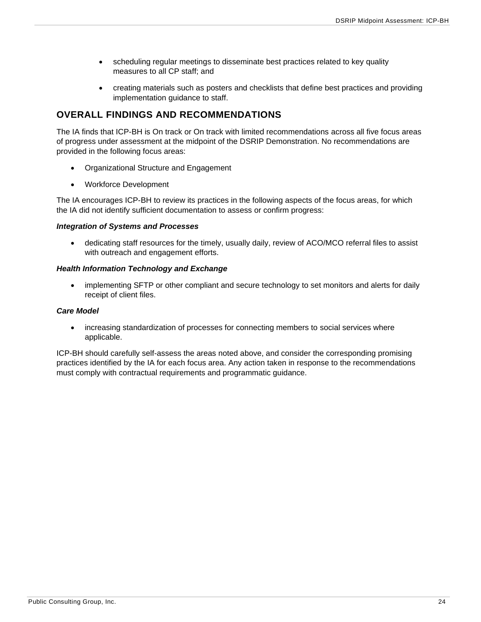- scheduling regular meetings to disseminate best practices related to key quality measures to all CP staff; and
- creating materials such as posters and checklists that define best practices and providing implementation guidance to staff.

### <span id="page-24-0"></span>**OVERALL FINDINGS AND RECOMMENDATIONS**

The IA finds that ICP-BH is On track or On track with limited recommendations across all five focus areas of progress under assessment at the midpoint of the DSRIP Demonstration. No recommendations are provided in the following focus areas:

- Organizational Structure and Engagement
- Workforce Development

The IA encourages ICP-BH to review its practices in the following aspects of the focus areas, for which the IA did not identify sufficient documentation to assess or confirm progress:

#### *Integration of Systems and Processes*

• dedicating staff resources for the timely, usually daily, review of ACO/MCO referral files to assist with outreach and engagement efforts.

#### *Health Information Technology and Exchange*

• implementing SFTP or other compliant and secure technology to set monitors and alerts for daily receipt of client files.

#### *Care Model*

• increasing standardization of processes for connecting members to social services where applicable.

ICP-BH should carefully self-assess the areas noted above, and consider the corresponding promising practices identified by the IA for each focus area. Any action taken in response to the recommendations must comply with contractual requirements and programmatic guidance.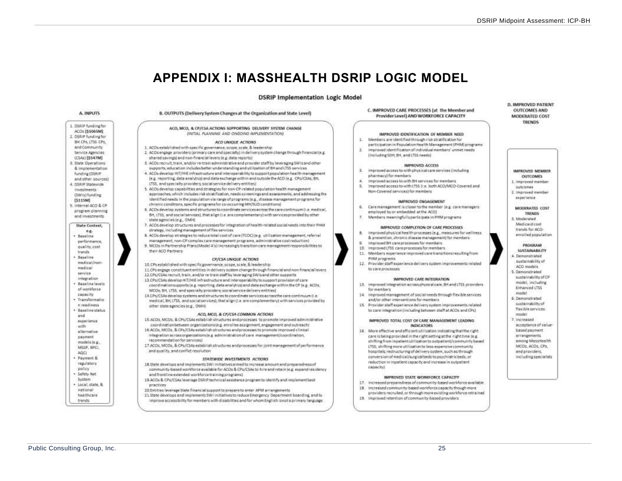## **APPENDIX I: MASSHEALTH DSRIP LOGIC MODEL**

#### **DSRIP Implementation Logic Model**

<span id="page-25-0"></span>

B. OUTPUTS (Delivery System Changes at the Organization and State Level) ACO, MCO, & CP/CSA ACTIONS SUPPORTING DELIVERY SYSTEM CHANGE INITIAL PLANNING AND ONGOING IMPLEMENTATIONS ¥. ACO UNIQUE ACTIONS 1. ACOs established with specific governance, scope, scale, & leadership W. 2. ACOs engage providers (primary care and specialty) in delivery system change through financial (e.g. shared savings) and non-financial levers (e.g. data reports) 8. ACDs recruit, train, and/or re-train administrative and provider staff by leveraging SWIs and other supports, education includes better understanding and utilization of BH and LTSS services ×. 4. ACOs develop HIT/HIE infrastructure and interpoerability to support population health management le z. reporting, data analytics) and data exchange within and outside the ACO (e.g., CPs/CSAs; BH, LTSS, and specially providers; social service delivery entities). 5. ACOs develop capabilities and strategies for non-CP-related population health management approaches, which includes risk stratification, needs screenings and assessments, and addressing the identified needs in the copulation via range of programs (e.g., disease management programs for chronic conditions, specific programs for co-occurring MH/SUD conditions) 6. 6. ACOs develop systems and structures to coordinate services across the care continuum (i.e. medical, BH, LTSS, and social services), that align (i.e. are complementary) with services provided by other 7. ACOs develop structures and processes for integration of health-related social needs into their PHM R. 8. ACOs develop strategies to reduce total cost of care (TCOC) (e.g. utilization management, referral management, non-CP complex care management programs, administrative cost reduction)  $\alpha$ 9. MCDs in Partnership Plans(Model A's) increasingly transition care management responsibilities to CP/CSA UNIQUE ACTIONS 10.CPs established with specific governance, scope, scale. & leadership 11.CPs engage constituent entities in delivery system change through financial and non-financial levers 12 CPs/CSAs recruit train, and/or re-train staff by leveraging SWIs and other supports 13 CPs/CSAs develop HIT/HIE infrastructure and interoperability to support provision of care coordination supports (e.g. reporting, data analytics) and data exchange within the CP (e.g. ACOs, MCDs; BH, LTSS, and specially providers; social service delivery entities) 34. 14 CPs/CSAs develop systems and structures to coordinate services across the care continuum (i.e. medical, BH, LTSS, and social services), that align (i.e. are complementary) with services provided by

#### ACO, MCO, & CP/CSA COMMON ACTIONS

- 15.4COs, MCOs, & CPs/CSAs establish structures and processes to promote improved administrative coordination between organizations (e.g. enrollee assignment, engagement and outreach)
- 16.ACOs, MCOs, & CPs/CSAs establish structures and processes to promote improved clinical integration acrossorganizations (e.g. administration of care management/coordination,
- 17 ACOs, MCOs, & CPs/CSAs establish structures and processes for joint management of performance and quality, and conflict resolution

#### STATEWIDE INVESTMENTS ACTIONS

- 18 State develops and implements SWI initiatives aimed to increase amount and preparedness of community-based workforce available for ACOs & CPs/CSAs to hire and retain (e.g. expand residency and frontline extended workforce training programs)
- 19 ACOs & CPs/CSAs leverage OSR(P technical assistance program to identify and implement best
- 20 Entities leverage State financial support to prepare to enter APM arrangements
- 21 State develops and implements SWI initiatives to reduce Emergency Department boarding, and to improve accessibility for members with disabilities and for whom English isnot a primary language.

C. IMPROVED CARE PROCESSES (at the Member and Provider Level) AND WORKFORCE CAPACITY

#### IMPROVED IDENTIFICATION OF MEMBER NEED.

- Members are identified through risk stratification for
- participation in Population Health Management (PHM) programs Improved identification of individual members' unmet needs.
- (including SDH, BH, and LTSS needs)

#### **IMPROVED ACCESS**

- Improved access to with physical care services (including pharmacy) for members:
- Improved access to with BH services for members
- improved access to with LT55 ii.e. both ACO/MCO-Covered and Non-Covered services) for members

#### IMPROVED ENGAGEMENT

- Care management is closer to the member (e.g. care managers
- employed by ar embedded at the ACO)
- Members meaningfullyparticipate in PHM programs.

#### IMPROVED COMPLETION OF CARE PROCESSES

- Improved physical health processes (e.g., measures for wellness & erappention, chennic disagreementamenti for mambers.
- Improved SH care processes for members.
- 10. Improved LT35 care processes for members
- 11. Members experience improved core transitions resulting from PHM programs
- 12. Provider staff experience delivery system improvements related to care processes

#### IMPROVED CARE INTEGRATION

- 13. Improved integration across physical care, 6H and LTSS providers. for members.
- improved management of social needs through flexible services and/or other interventions for members
- 15. Provider staff experience delivery system improvements related to care integration (including between staff at ACOs and CPs)

#### IMPROVED TOTAL COST OF CARE MANAGEMENT LEADING **INDICATORS**

16. More effective and efficient utilization indicating that the right care is being provided in the right setting at the right time (e.g. shifting from inpatient utilization to outpatient/community based LTSS: shifting more utilization to less-expensive community hospitals; restructuring of delivery system, such as through conversion of medical/surgical beds to psychiatric beds, or reduction in inpatient capacity and increase in outpatient canacityl

#### IMPROVED STATE WORKFORCE CAPACITY

- 17. Increased preparedness of community-based workforce available
- 18. Increased community-based workforce capacity though more providers recruited, or through more existing workforce retrained
- 19. Improved retention of community-based providers

#### **D. IMPROVED PATIENT OUTCOMES AND MODERATED COST TRENDS**

IMPROVED MEMBER **CIETYCOMPS** 1. Improved mambar

- nutcomes 2. Improved member
- experience

MODERATED COST **TRENDS** R. Mosteraturi Medicaid cost trends for ACO-

enrolled population

PROGRAM **SUSTAINABILITY** 

4. Demonstrated sustainability of ACO models 5. Demonstrated

- sustainability of CP model, including
- Enhanced LTSS
- model 6. Demonstrated
- custainability of
- flexible services
- model 7 increased
- acceptance of value-
- based payment
- arrangements among MassHealth
- MCOs, ACOs, CPs.
- and providers. including specialists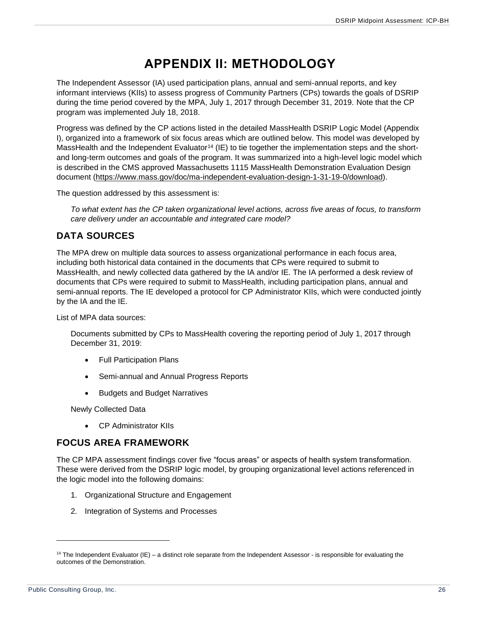## **APPENDIX II: METHODOLOGY**

<span id="page-26-0"></span>The Independent Assessor (IA) used participation plans, annual and semi-annual reports, and key informant interviews (KIIs) to assess progress of Community Partners (CPs) towards the goals of DSRIP during the time period covered by the MPA, July 1, 2017 through December 31, 2019. Note that the CP program was implemented July 18, 2018.

Progress was defined by the CP actions listed in the detailed MassHealth DSRIP Logic Model (Appendix I), organized into a framework of six focus areas which are outlined below. This model was developed by MassHealth and the Independent Evaluator<sup>14</sup> (IE) to tie together the implementation steps and the shortand long-term outcomes and goals of the program. It was summarized into a high-level logic model which is described in the CMS approved Massachusetts 1115 MassHealth Demonstration Evaluation Design document [\(https://www.mass.gov/doc/ma-independent-evaluation-design-1-31-19-0/download\)](https://www.mass.gov/doc/ma-independent-evaluation-design-1-31-19-0/download).

The question addressed by this assessment is:

*To what extent has the CP taken organizational level actions, across five areas of focus, to transform care delivery under an accountable and integrated care model?*

### <span id="page-26-1"></span>**DATA SOURCES**

The MPA drew on multiple data sources to assess organizational performance in each focus area, including both historical data contained in the documents that CPs were required to submit to MassHealth, and newly collected data gathered by the IA and/or IE. The IA performed a desk review of documents that CPs were required to submit to MassHealth, including participation plans, annual and semi-annual reports. The IE developed a protocol for CP Administrator KIIs, which were conducted jointly by the IA and the IE.

List of MPA data sources:

Documents submitted by CPs to MassHealth covering the reporting period of July 1, 2017 through December 31, 2019:

- Full Participation Plans
- Semi-annual and Annual Progress Reports
- Budgets and Budget Narratives

Newly Collected Data

• CP Administrator KIIs

#### <span id="page-26-2"></span>**FOCUS AREA FRAMEWORK**

The CP MPA assessment findings cover five "focus areas" or aspects of health system transformation. These were derived from the DSRIP logic model, by grouping organizational level actions referenced in the logic model into the following domains:

- 1. Organizational Structure and Engagement
- 2. Integration of Systems and Processes

<sup>&</sup>lt;sup>14</sup> The Independent Evaluator (IE) – a distinct role separate from the Independent Assessor - is responsible for evaluating the outcomes of the Demonstration.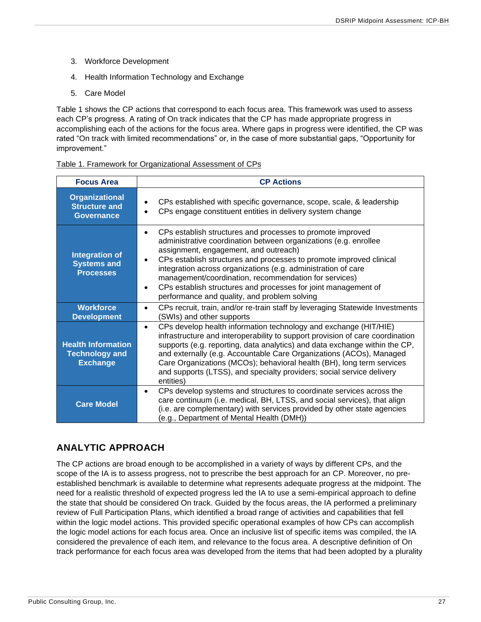- 3. Workforce Development
- 4. Health Information Technology and Exchange
- 5. Care Model

Table 1 shows the CP actions that correspond to each focus area. This framework was used to assess each CP's progress. A rating of On track indicates that the CP has made appropriate progress in accomplishing each of the actions for the focus area. Where gaps in progress were identified, the CP was rated "On track with limited recommendations" or, in the case of more substantial gaps, "Opportunity for improvement."

#### Table 1. Framework for Organizational Assessment of CPs

| <b>Focus Area</b>                                                     | <b>CP Actions</b>                                                                                                                                                                                                                                                                                                                                                                                                                                                                                                         |
|-----------------------------------------------------------------------|---------------------------------------------------------------------------------------------------------------------------------------------------------------------------------------------------------------------------------------------------------------------------------------------------------------------------------------------------------------------------------------------------------------------------------------------------------------------------------------------------------------------------|
| <b>Organizational</b><br><b>Structure and</b><br><b>Governance</b>    | CPs established with specific governance, scope, scale, & leadership<br>CPs engage constituent entities in delivery system change                                                                                                                                                                                                                                                                                                                                                                                         |
| <b>Integration of</b><br><b>Systems and</b><br><b>Processes</b>       | CPs establish structures and processes to promote improved<br>٠<br>administrative coordination between organizations (e.g. enrollee<br>assignment, engagement, and outreach)<br>CPs establish structures and processes to promote improved clinical<br>$\bullet$<br>integration across organizations (e.g. administration of care<br>management/coordination, recommendation for services)<br>CPs establish structures and processes for joint management of<br>$\bullet$<br>performance and quality, and problem solving |
| <b>Workforce</b><br><b>Development</b>                                | CPs recruit, train, and/or re-train staff by leveraging Statewide Investments<br>$\bullet$<br>(SWIs) and other supports                                                                                                                                                                                                                                                                                                                                                                                                   |
| <b>Health Information</b><br><b>Technology and</b><br><b>Exchange</b> | CPs develop health information technology and exchange (HIT/HIE)<br>$\bullet$<br>infrastructure and interoperability to support provision of care coordination<br>supports (e.g. reporting, data analytics) and data exchange within the CP,<br>and externally (e.g. Accountable Care Organizations (ACOs), Managed<br>Care Organizations (MCOs); behavioral health (BH), long term services<br>and supports (LTSS), and specialty providers; social service delivery<br>entities)                                        |
| <b>Care Model</b>                                                     | CPs develop systems and structures to coordinate services across the<br>$\bullet$<br>care continuum (i.e. medical, BH, LTSS, and social services), that align<br>(i.e. are complementary) with services provided by other state agencies<br>(e.g., Department of Mental Health (DMH))                                                                                                                                                                                                                                     |

### <span id="page-27-0"></span>**ANALYTIC APPROACH**

The CP actions are broad enough to be accomplished in a variety of ways by different CPs, and the scope of the IA is to assess progress, not to prescribe the best approach for an CP. Moreover, no preestablished benchmark is available to determine what represents adequate progress at the midpoint. The need for a realistic threshold of expected progress led the IA to use a semi-empirical approach to define the state that should be considered On track. Guided by the focus areas, the IA performed a preliminary review of Full Participation Plans, which identified a broad range of activities and capabilities that fell within the logic model actions. This provided specific operational examples of how CPs can accomplish the logic model actions for each focus area. Once an inclusive list of specific items was compiled, the IA considered the prevalence of each item, and relevance to the focus area. A descriptive definition of On track performance for each focus area was developed from the items that had been adopted by a plurality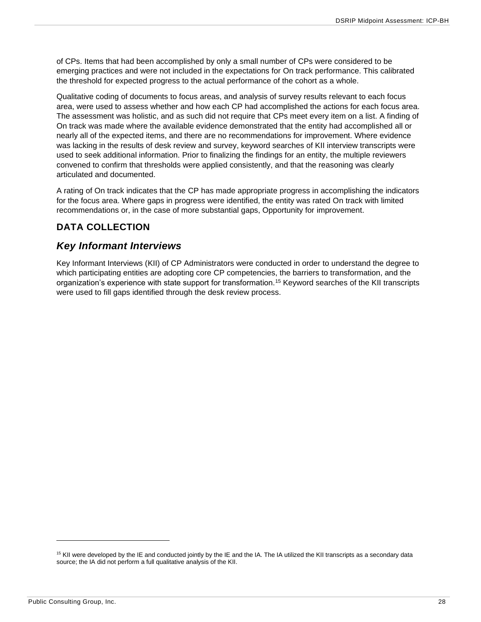of CPs. Items that had been accomplished by only a small number of CPs were considered to be emerging practices and were not included in the expectations for On track performance. This calibrated the threshold for expected progress to the actual performance of the cohort as a whole.

Qualitative coding of documents to focus areas, and analysis of survey results relevant to each focus area, were used to assess whether and how each CP had accomplished the actions for each focus area. The assessment was holistic, and as such did not require that CPs meet every item on a list. A finding of On track was made where the available evidence demonstrated that the entity had accomplished all or nearly all of the expected items, and there are no recommendations for improvement. Where evidence was lacking in the results of desk review and survey, keyword searches of KII interview transcripts were used to seek additional information. Prior to finalizing the findings for an entity, the multiple reviewers convened to confirm that thresholds were applied consistently, and that the reasoning was clearly articulated and documented.

A rating of On track indicates that the CP has made appropriate progress in accomplishing the indicators for the focus area. Where gaps in progress were identified, the entity was rated On track with limited recommendations or, in the case of more substantial gaps, Opportunity for improvement.

## <span id="page-28-0"></span>**DATA COLLECTION**

### <span id="page-28-1"></span>*Key Informant Interviews*

Key Informant Interviews (KII) of CP Administrators were conducted in order to understand the degree to which participating entities are adopting core CP competencies, the barriers to transformation, and the organization's experience with state support for transformation.<sup>15</sup> Keyword searches of the KII transcripts were used to fill gaps identified through the desk review process.

<sup>&</sup>lt;sup>15</sup> KII were developed by the IE and conducted jointly by the IE and the IA. The IA utilized the KII transcripts as a secondary data source; the IA did not perform a full qualitative analysis of the KII.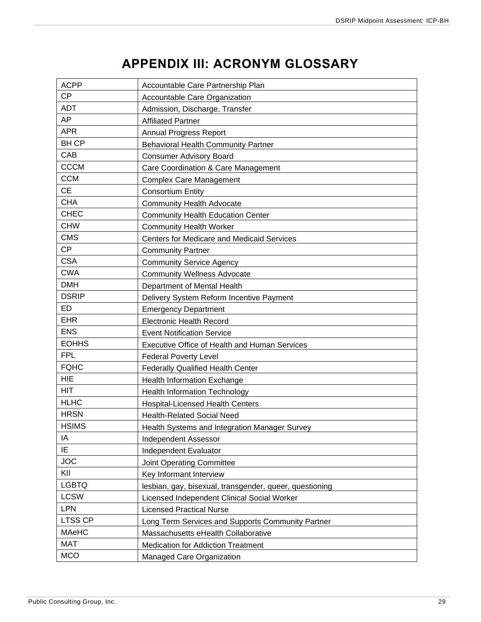## **APPENDIX III: ACRONYM GLOSSARY**

<span id="page-29-0"></span>

| <b>ACPP</b>    | Accountable Care Partnership Plan                       |
|----------------|---------------------------------------------------------|
| <b>CP</b>      | Accountable Care Organization                           |
| <b>ADT</b>     | Admission, Discharge, Transfer                          |
| AP             | <b>Affiliated Partner</b>                               |
| <b>APR</b>     | <b>Annual Progress Report</b>                           |
| <b>BHCP</b>    | <b>Behavioral Health Community Partner</b>              |
| CAB            | <b>Consumer Advisory Board</b>                          |
| <b>CCCM</b>    | Care Coordination & Care Management                     |
| <b>CCM</b>     | <b>Complex Care Management</b>                          |
| <b>CE</b>      | <b>Consortium Entity</b>                                |
| <b>CHA</b>     | <b>Community Health Advocate</b>                        |
| <b>CHEC</b>    | <b>Community Health Education Center</b>                |
| <b>CHW</b>     | <b>Community Health Worker</b>                          |
| <b>CMS</b>     | Centers for Medicare and Medicaid Services              |
| <b>CP</b>      | <b>Community Partner</b>                                |
| <b>CSA</b>     | <b>Community Service Agency</b>                         |
| <b>CWA</b>     | <b>Community Wellness Advocate</b>                      |
| <b>DMH</b>     | Department of Mental Health                             |
| <b>DSRIP</b>   | Delivery System Reform Incentive Payment                |
| <b>ED</b>      | <b>Emergency Department</b>                             |
| <b>EHR</b>     | <b>Electronic Health Record</b>                         |
| <b>ENS</b>     | <b>Event Notification Service</b>                       |
| <b>EOHHS</b>   | Executive Office of Health and Human Services           |
| <b>FPL</b>     | <b>Federal Poverty Level</b>                            |
| <b>FQHC</b>    | <b>Federally Qualified Health Center</b>                |
| <b>HIE</b>     | Health Information Exchange                             |
| <b>HIT</b>     | <b>Health Information Technology</b>                    |
| <b>HLHC</b>    | <b>Hospital-Licensed Health Centers</b>                 |
| <b>HRSN</b>    | <b>Health-Related Social Need</b>                       |
| <b>HSIMS</b>   | Health Systems and Integration Manager Survey           |
| IA             | <b>Independent Assessor</b>                             |
| IE             | Independent Evaluator                                   |
| <b>JOC</b>     | Joint Operating Committee                               |
| KII            | Key Informant Interview                                 |
| <b>LGBTQ</b>   | lesbian, gay, bisexual, transgender, queer, questioning |
| <b>LCSW</b>    | Licensed Independent Clinical Social Worker             |
| <b>LPN</b>     | <b>Licensed Practical Nurse</b>                         |
| <b>LTSS CP</b> | Long Term Services and Supports Community Partner       |
| <b>MAeHC</b>   | Massachusetts eHealth Collaborative                     |
| <b>MAT</b>     | <b>Medication for Addiction Treatment</b>               |
| <b>MCO</b>     | Managed Care Organization                               |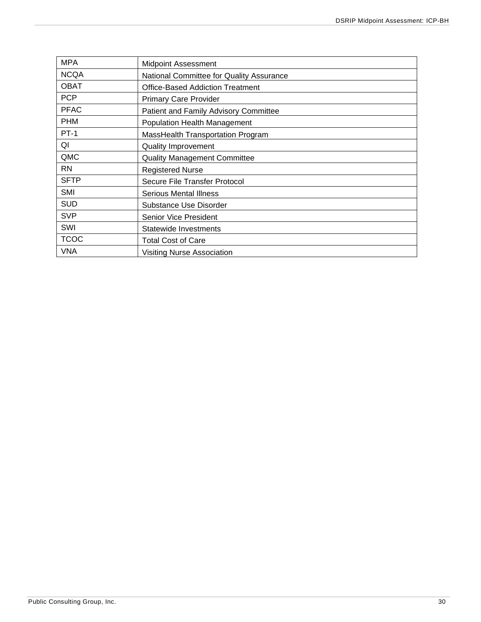| <b>MPA</b>  | <b>Midpoint Assessment</b>               |
|-------------|------------------------------------------|
| <b>NCQA</b> | National Committee for Quality Assurance |
| <b>OBAT</b> | <b>Office-Based Addiction Treatment</b>  |
| <b>PCP</b>  | <b>Primary Care Provider</b>             |
| <b>PFAC</b> | Patient and Family Advisory Committee    |
| <b>PHM</b>  | Population Health Management             |
| <b>PT-1</b> | MassHealth Transportation Program        |
| QI          | <b>Quality Improvement</b>               |
| QMC         | <b>Quality Management Committee</b>      |
| <b>RN</b>   | <b>Registered Nurse</b>                  |
| <b>SFTP</b> | Secure File Transfer Protocol            |
| SMI         | <b>Serious Mental Illness</b>            |
| <b>SUD</b>  | Substance Use Disorder                   |
| <b>SVP</b>  | Senior Vice President                    |
| SWI         | Statewide Investments                    |
| <b>TCOC</b> | <b>Total Cost of Care</b>                |
| <b>VNA</b>  | <b>Visiting Nurse Association</b>        |